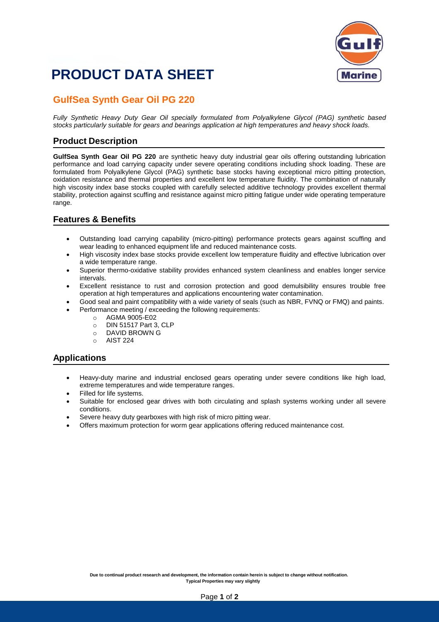

## **PRODUCT DATA SHEET**

### **GulfSea Synth Gear Oil PG 220**

*Fully Synthetic Heavy Duty Gear Oil specially formulated from Polyalkylene Glycol (PAG) synthetic based stocks particularly suitable for gears and bearings application at high temperatures and heavy shock loads.*

#### **Product Description**

**GulfSea Synth Gear Oil PG 220** are synthetic heavy duty industrial gear oils offering outstanding lubrication performance and load carrying capacity under severe operating conditions including shock loading. These are formulated from Polyalkylene Glycol (PAG) synthetic base stocks having exceptional micro pitting protection, oxidation resistance and thermal properties and excellent low temperature fluidity. The combination of naturally high viscosity index base stocks coupled with carefully selected additive technology provides excellent thermal stability, protection against scuffing and resistance against micro pitting fatigue under wide operating temperature range.

#### **Features & Benefits**

- Outstanding load carrying capability (micro-pitting) performance protects gears against scuffing and wear leading to enhanced equipment life and reduced maintenance costs.
- High viscosity index base stocks provide excellent low temperature fluidity and effective lubrication over a wide temperature range.
- Superior thermo-oxidative stability provides enhanced system cleanliness and enables longer service intervals.
- Excellent resistance to rust and corrosion protection and good demulsibility ensures trouble free operation at high temperatures and applications encountering water contamination.
- Good seal and paint compatibility with a wide variety of seals (such as NBR, FVNQ or FMQ) and paints.
- Performance meeting / exceeding the following requirements:
	- o AGMA 9005-E02
	- o DIN 51517 Part 3, CLP
	- o DAVID BROWN G
	- o AIST 224

#### **Applications**

- Heavy-duty marine and industrial enclosed gears operating under severe conditions like high load, extreme temperatures and wide temperature ranges.
- Filled for life systems.
- Suitable for enclosed gear drives with both circulating and splash systems working under all severe conditions.
- Severe heavy duty gearboxes with high risk of micro pitting wear.
- Offers maximum protection for worm gear applications offering reduced maintenance cost.